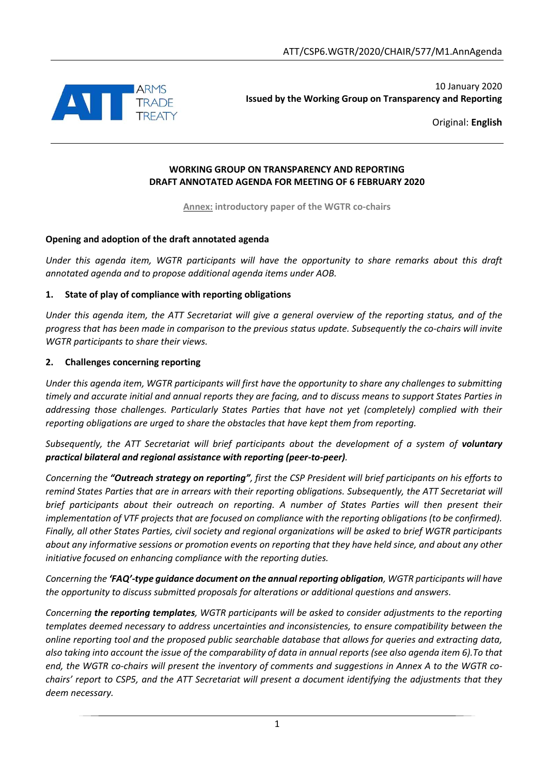

10 January 2020 **Issued by the Working Group on Transparency and Reporting**

Original: **English**

#### **WORKING GROUP ON TRANSPARENCY AND REPORTING DRAFT ANNOTATED AGENDA FOR MEETING OF 6 FEBRUARY 2020**

**Annex: introductory paper of the WGTR co-chairs**

### **Opening and adoption of the draft annotated agenda**

*Under this agenda item, WGTR participants will have the opportunity to share remarks about this draft annotated agenda and to propose additional agenda items under AOB.*

### **1. State of play of compliance with reporting obligations**

*Under this agenda item, the ATT Secretariat will give a general overview of the reporting status, and of the progress that has been made in comparison to the previous status update. Subsequently the co-chairs will invite WGTR participants to share their views.*

### **2. Challenges concerning reporting**

*Under this agenda item, WGTR participants will first have the opportunity to share any challenges to submitting timely and accurate initial and annual reports they are facing, and to discuss means to support States Parties in addressing those challenges. Particularly States Parties that have not yet (completely) complied with their reporting obligations are urged to share the obstacles that have kept them from reporting.*

*Subsequently, the ATT Secretariat will brief participants about the development of a system of voluntary practical bilateral and regional assistance with reporting (peer-to-peer).*

*Concerning the "Outreach strategy on reporting", first the CSP President will brief participants on his efforts to remind States Parties that are in arrears with their reporting obligations. Subsequently, the ATT Secretariat will brief participants about their outreach on reporting. A number of States Parties will then present their implementation of VTF projects that are focused on compliance with the reporting obligations (to be confirmed). Finally, all other States Parties, civil society and regional organizations will be asked to brief WGTR participants about any informative sessions or promotion events on reporting that they have held since, and about any other initiative focused on enhancing compliance with the reporting duties.*

*Concerning the 'FAQ'-type guidance document on the annual reporting obligation, WGTR participants will have the opportunity to discuss submitted proposals for alterations or additional questions and answers.*

*Concerning the reporting templates, WGTR participants will be asked to consider adjustments to the reporting templates deemed necessary to address uncertainties and inconsistencies, to ensure compatibility between the online reporting tool and the proposed public searchable database that allows for queries and extracting data, also taking into account the issue of the comparability of data in annual reports (see also agenda item 6).To that end, the WGTR co-chairs will present the inventory of comments and suggestions in Annex A to the WGTR cochairs' report to CSP5, and the ATT Secretariat will present a document identifying the adjustments that they deem necessary.*